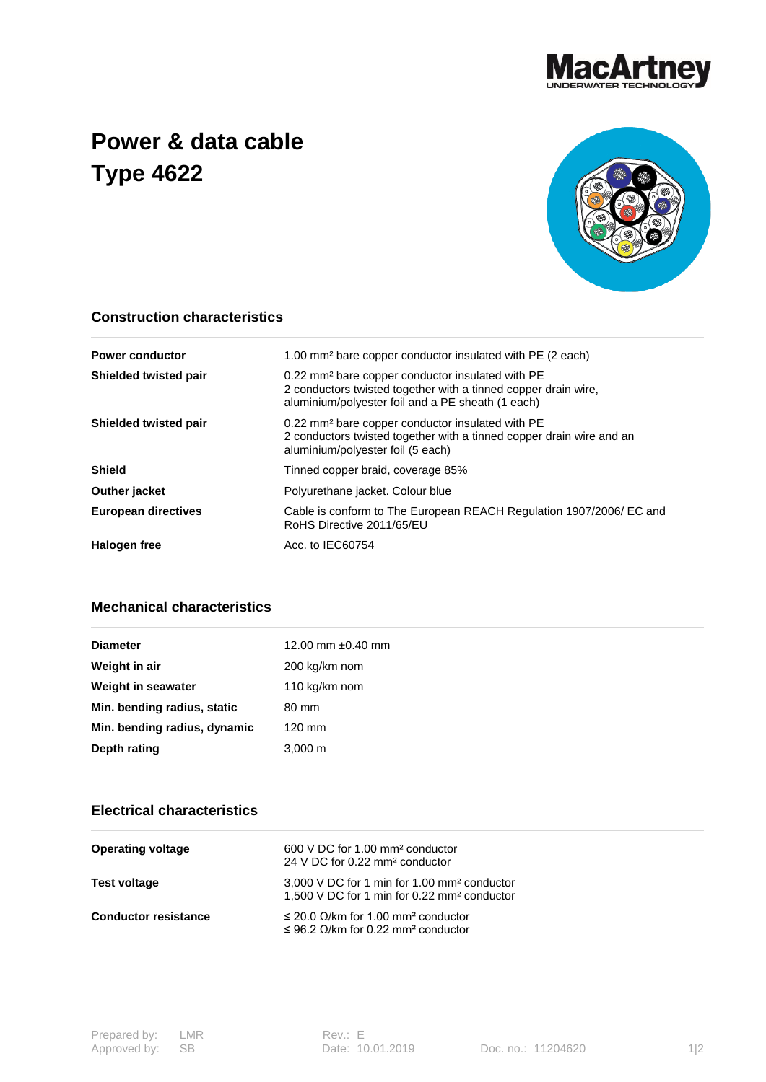

## **Power & data cable Type 4622**



## **Construction characteristics**

| <b>Power conductor</b>       | 1.00 mm <sup>2</sup> bare copper conductor insulated with PE (2 each)                                                                                                               |  |  |
|------------------------------|-------------------------------------------------------------------------------------------------------------------------------------------------------------------------------------|--|--|
| <b>Shielded twisted pair</b> | 0.22 mm <sup>2</sup> bare copper conductor insulated with PE<br>2 conductors twisted together with a tinned copper drain wire.<br>aluminium/polyester foil and a PE sheath (1 each) |  |  |
| Shielded twisted pair        | 0.22 mm <sup>2</sup> bare copper conductor insulated with PE<br>2 conductors twisted together with a tinned copper drain wire and an<br>aluminium/polyester foil (5 each)           |  |  |
| <b>Shield</b>                | Tinned copper braid, coverage 85%                                                                                                                                                   |  |  |
| Outher jacket                | Polyurethane jacket. Colour blue                                                                                                                                                    |  |  |
| <b>European directives</b>   | Cable is conform to The European REACH Regulation 1907/2006/ EC and<br>RoHS Directive 2011/65/EU                                                                                    |  |  |
| Halogen free                 | Acc. to IEC60754                                                                                                                                                                    |  |  |

## **Mechanical characteristics**

| <b>Diameter</b>              | 12.00 mm $\pm 0.40$ mm |
|------------------------------|------------------------|
| Weight in air                | 200 kg/km nom          |
| Weight in seawater           | 110 kg/km nom          |
| Min. bending radius, static  | 80 mm                  |
| Min. bending radius, dynamic | $120 \text{ mm}$       |
| Depth rating                 | $3,000 \; \text{m}$    |

## **Electrical characteristics**

| <b>Operating voltage</b>    | 600 V DC for 1.00 mm <sup>2</sup> conductor<br>24 V DC for 0.22 mm <sup>2</sup> conductor                          |
|-----------------------------|--------------------------------------------------------------------------------------------------------------------|
| Test voltage                | 3,000 V DC for 1 min for 1.00 mm <sup>2</sup> conductor<br>1,500 V DC for 1 min for 0.22 mm <sup>2</sup> conductor |
| <b>Conductor resistance</b> | $\leq$ 20.0 Ω/km for 1.00 mm <sup>2</sup> conductor<br>$\leq$ 96.2 $\Omega$ /km for 0.22 mm <sup>2</sup> conductor |